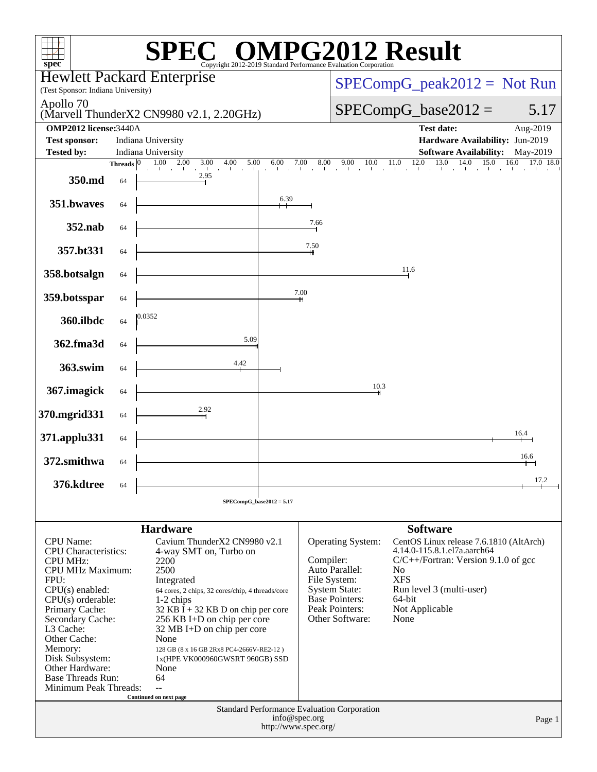| $spec^*$                                                                                                                                                                                                                                                                                                            |                                          | $\mathbb{C}^{\scriptscriptstyle\otimes}$ OMPG2012 Result<br>Copyright 2012-2019 Standard Performance Evaluation Corporation                                                                                                                                                                                                                                                                               |                      |               |                                                                                                                                                                                          |                                                                  |                                                                                                                                              |                               |
|---------------------------------------------------------------------------------------------------------------------------------------------------------------------------------------------------------------------------------------------------------------------------------------------------------------------|------------------------------------------|-----------------------------------------------------------------------------------------------------------------------------------------------------------------------------------------------------------------------------------------------------------------------------------------------------------------------------------------------------------------------------------------------------------|----------------------|---------------|------------------------------------------------------------------------------------------------------------------------------------------------------------------------------------------|------------------------------------------------------------------|----------------------------------------------------------------------------------------------------------------------------------------------|-------------------------------|
| <b>Hewlett Packard Enterprise</b>                                                                                                                                                                                                                                                                                   |                                          |                                                                                                                                                                                                                                                                                                                                                                                                           |                      |               |                                                                                                                                                                                          |                                                                  |                                                                                                                                              | $SPECompG_peak2012 = Not Run$ |
| (Test Sponsor: Indiana University)<br>Apollo 70                                                                                                                                                                                                                                                                     |                                          |                                                                                                                                                                                                                                                                                                                                                                                                           |                      |               |                                                                                                                                                                                          |                                                                  |                                                                                                                                              |                               |
|                                                                                                                                                                                                                                                                                                                     | (Marvell ThunderX2 CN9980 v2.1, 2.20GHz) |                                                                                                                                                                                                                                                                                                                                                                                                           |                      |               |                                                                                                                                                                                          |                                                                  | $SPECompG_base2012 =$                                                                                                                        | 5.17                          |
| <b>OMP2012</b> license: 3440A<br><b>Test sponsor:</b><br>Indiana University                                                                                                                                                                                                                                         |                                          |                                                                                                                                                                                                                                                                                                                                                                                                           |                      |               |                                                                                                                                                                                          |                                                                  | <b>Test date:</b><br>Hardware Availability: Jun-2019                                                                                         | Aug-2019                      |
| <b>Tested by:</b>                                                                                                                                                                                                                                                                                                   | Indiana University                       |                                                                                                                                                                                                                                                                                                                                                                                                           |                      |               |                                                                                                                                                                                          |                                                                  | <b>Software Availability:</b>                                                                                                                | May-2019                      |
|                                                                                                                                                                                                                                                                                                                     | Threads $ 0\rangle$                      | $1.00 \t 2.00$<br>3.00<br>5.00<br>4.00<br>and the control of the                                                                                                                                                                                                                                                                                                                                          | 6.00                 | 7.00<br>8.00  | 9.00<br>10.0<br>$\blacksquare$                                                                                                                                                           | 11.0<br><b>College</b>                                           | $12.0$ $13.0$ $14.0$ $15.0$                                                                                                                  | 16.0 17.0 18.0                |
| 350.md                                                                                                                                                                                                                                                                                                              | 64                                       | 2.95                                                                                                                                                                                                                                                                                                                                                                                                      |                      |               |                                                                                                                                                                                          |                                                                  |                                                                                                                                              |                               |
| 351.bwaves                                                                                                                                                                                                                                                                                                          | 64                                       |                                                                                                                                                                                                                                                                                                                                                                                                           | 6.39                 |               |                                                                                                                                                                                          |                                                                  |                                                                                                                                              |                               |
| 352.nab                                                                                                                                                                                                                                                                                                             | 64                                       |                                                                                                                                                                                                                                                                                                                                                                                                           |                      | 7.66          |                                                                                                                                                                                          |                                                                  |                                                                                                                                              |                               |
| 357.bt331                                                                                                                                                                                                                                                                                                           | 64                                       |                                                                                                                                                                                                                                                                                                                                                                                                           |                      | 7.50<br>╫     |                                                                                                                                                                                          |                                                                  |                                                                                                                                              |                               |
| 358.botsalgn                                                                                                                                                                                                                                                                                                        | 64                                       |                                                                                                                                                                                                                                                                                                                                                                                                           |                      |               |                                                                                                                                                                                          | 11.6                                                             |                                                                                                                                              |                               |
| 359.botsspar                                                                                                                                                                                                                                                                                                        | 64                                       |                                                                                                                                                                                                                                                                                                                                                                                                           |                      | 7.00          |                                                                                                                                                                                          |                                                                  |                                                                                                                                              |                               |
| 360.ilbdc                                                                                                                                                                                                                                                                                                           | 64                                       | 0.0352                                                                                                                                                                                                                                                                                                                                                                                                    |                      |               |                                                                                                                                                                                          |                                                                  |                                                                                                                                              |                               |
| 362.fma3d                                                                                                                                                                                                                                                                                                           | 64                                       | 5.09                                                                                                                                                                                                                                                                                                                                                                                                      |                      |               |                                                                                                                                                                                          |                                                                  |                                                                                                                                              |                               |
| 363.swim                                                                                                                                                                                                                                                                                                            | 64                                       | 4.42                                                                                                                                                                                                                                                                                                                                                                                                      |                      |               |                                                                                                                                                                                          |                                                                  |                                                                                                                                              |                               |
| 367. imagick                                                                                                                                                                                                                                                                                                        | 64                                       |                                                                                                                                                                                                                                                                                                                                                                                                           |                      |               | 10.3                                                                                                                                                                                     |                                                                  |                                                                                                                                              |                               |
| 370.mgrid331                                                                                                                                                                                                                                                                                                        | 64                                       | 2.92                                                                                                                                                                                                                                                                                                                                                                                                      |                      |               |                                                                                                                                                                                          |                                                                  |                                                                                                                                              |                               |
| 371.applu331                                                                                                                                                                                                                                                                                                        | 64                                       |                                                                                                                                                                                                                                                                                                                                                                                                           |                      |               |                                                                                                                                                                                          |                                                                  |                                                                                                                                              | 16.4                          |
| 372.smithwa                                                                                                                                                                                                                                                                                                         | 64                                       |                                                                                                                                                                                                                                                                                                                                                                                                           |                      |               |                                                                                                                                                                                          |                                                                  |                                                                                                                                              | 16.6<br>┿                     |
| 376.kdtree                                                                                                                                                                                                                                                                                                          | 64                                       |                                                                                                                                                                                                                                                                                                                                                                                                           |                      |               |                                                                                                                                                                                          |                                                                  |                                                                                                                                              | 17.2                          |
|                                                                                                                                                                                                                                                                                                                     |                                          | $SPECompG_base2012 = 5.17$                                                                                                                                                                                                                                                                                                                                                                                |                      |               |                                                                                                                                                                                          |                                                                  |                                                                                                                                              |                               |
|                                                                                                                                                                                                                                                                                                                     |                                          | <b>Hardware</b>                                                                                                                                                                                                                                                                                                                                                                                           |                      |               |                                                                                                                                                                                          | <b>Software</b>                                                  |                                                                                                                                              |                               |
| CPU Name:<br><b>CPU</b> Characteristics:<br><b>CPU MHz:</b><br><b>CPU MHz Maximum:</b><br>FPU:<br>$CPU(s)$ enabled:<br>$CPU(s)$ orderable:<br>Primary Cache:<br>Secondary Cache:<br>L3 Cache:<br>Other Cache:<br>Memory:<br>Disk Subsystem:<br>Other Hardware:<br><b>Base Threads Run:</b><br>Minimum Peak Threads: |                                          | Cavium ThunderX2 CN9980 v2.1<br>4-way SMT on, Turbo on<br>2200<br>2500<br>Integrated<br>64 cores, 2 chips, 32 cores/chip, 4 threads/core<br>1-2 chips<br>$32$ KB I + 32 KB D on chip per core<br>256 KB I+D on chip per core<br>32 MB I+D on chip per core<br>None<br>128 GB (8 x 16 GB 2Rx8 PC4-2666V-RE2-12)<br>1x(HPE VK000960GWSRT 960GB) SSD<br>None<br>64<br>$\mathbf{u}$<br>Continued on next page |                      | Compiler:     | Operating System:<br>Auto Parallel:<br>File System:<br><b>System State:</b><br><b>Base Pointers:</b><br>Peak Pointers:<br>Other Software:<br>Standard Performance Evaluation Corporation | N <sub>0</sub><br><b>XFS</b><br>64-bit<br>Not Applicable<br>None | CentOS Linux release 7.6.1810 (AltArch)<br>4.14.0-115.8.1.el7a.aarch64<br>$C/C++/Fortran$ : Version 9.1.0 of gcc<br>Run level 3 (multi-user) |                               |
|                                                                                                                                                                                                                                                                                                                     |                                          |                                                                                                                                                                                                                                                                                                                                                                                                           | http://www.spec.org/ | info@spec.org |                                                                                                                                                                                          |                                                                  |                                                                                                                                              | Page 1                        |
|                                                                                                                                                                                                                                                                                                                     |                                          |                                                                                                                                                                                                                                                                                                                                                                                                           |                      |               |                                                                                                                                                                                          |                                                                  |                                                                                                                                              |                               |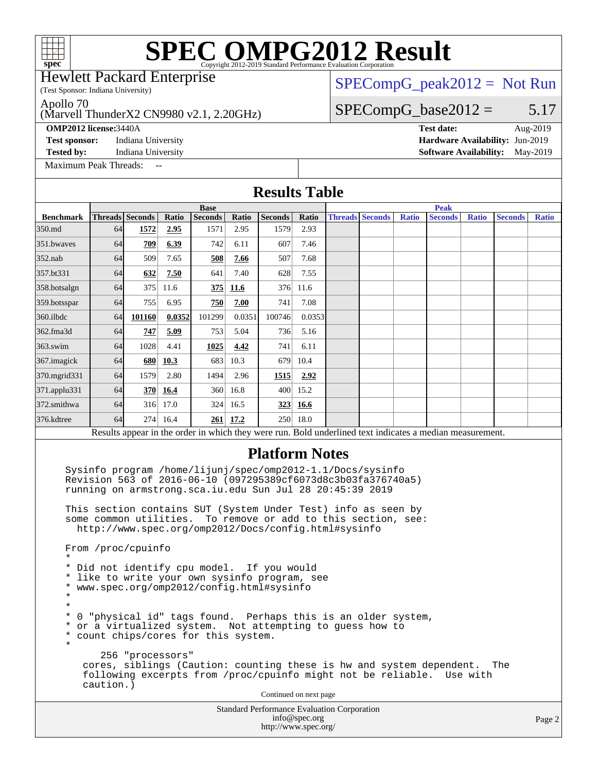Hewlett Packard Enterprise

## $SPECompG_peak2012 = Not Run$  $SPECompG_peak2012 = Not Run$

 $SPECompG_base2012 = 5.17$  $SPECompG_base2012 = 5.17$ 

Apollo 70

### (Marvell ThunderX2 CN9980 v2.1, 2.20GHz)

(Test Sponsor: Indiana University)

[Maximum Peak Threads:](http://www.spec.org/auto/omp2012/Docs/result-fields.html#MaximumPeakThreads)

**[OMP2012 license:](http://www.spec.org/auto/omp2012/Docs/result-fields.html#OMP2012license)**3440A **[Test date:](http://www.spec.org/auto/omp2012/Docs/result-fields.html#Testdate)** Aug-2019 **[Test sponsor:](http://www.spec.org/auto/omp2012/Docs/result-fields.html#Testsponsor)** Indiana University **[Hardware Availability:](http://www.spec.org/auto/omp2012/Docs/result-fields.html#HardwareAvailability)** Jun-2019 **[Tested by:](http://www.spec.org/auto/omp2012/Docs/result-fields.html#Testedby)** Indiana University **[Software Availability:](http://www.spec.org/auto/omp2012/Docs/result-fields.html#SoftwareAvailability)** May-2019

Standard Performance Evaluation Corporation **[Results Table](http://www.spec.org/auto/omp2012/Docs/result-fields.html#ResultsTable) [Benchmark](http://www.spec.org/auto/omp2012/Docs/result-fields.html#Benchmark) [Threads](http://www.spec.org/auto/omp2012/Docs/result-fields.html#Threads) [Seconds](http://www.spec.org/auto/omp2012/Docs/result-fields.html#Seconds) [Ratio](http://www.spec.org/auto/omp2012/Docs/result-fields.html#Ratio) [Seconds](http://www.spec.org/auto/omp2012/Docs/result-fields.html#Seconds) [Ratio](http://www.spec.org/auto/omp2012/Docs/result-fields.html#Ratio) [Seconds](http://www.spec.org/auto/omp2012/Docs/result-fields.html#Seconds) [Ratio](http://www.spec.org/auto/omp2012/Docs/result-fields.html#Ratio) Base [Threads](http://www.spec.org/auto/omp2012/Docs/result-fields.html#Threads) [Seconds](http://www.spec.org/auto/omp2012/Docs/result-fields.html#Seconds) [Ratio](http://www.spec.org/auto/omp2012/Docs/result-fields.html#Ratio) [Seconds](http://www.spec.org/auto/omp2012/Docs/result-fields.html#Seconds) [Ratio](http://www.spec.org/auto/omp2012/Docs/result-fields.html#Ratio) [Seconds](http://www.spec.org/auto/omp2012/Docs/result-fields.html#Seconds) [Ratio](http://www.spec.org/auto/omp2012/Docs/result-fields.html#Ratio) Peak** [350.md](http://www.spec.org/auto/omp2012/Docs/350.md.html) 64 **[1572](http://www.spec.org/auto/omp2012/Docs/result-fields.html#Median) [2.95](http://www.spec.org/auto/omp2012/Docs/result-fields.html#Median)** 1571 2.95 1579 2.93 [351.bwaves](http://www.spec.org/auto/omp2012/Docs/351.bwaves.html) 64 **[709](http://www.spec.org/auto/omp2012/Docs/result-fields.html#Median) [6.39](http://www.spec.org/auto/omp2012/Docs/result-fields.html#Median)** 742 6.11 607 7.46 [352.nab](http://www.spec.org/auto/omp2012/Docs/352.nab.html) 64 509 7.65 **[508](http://www.spec.org/auto/omp2012/Docs/result-fields.html#Median) [7.66](http://www.spec.org/auto/omp2012/Docs/result-fields.html#Median)** 507 7.68 [357.bt331](http://www.spec.org/auto/omp2012/Docs/357.bt331.html) 64 **[632](http://www.spec.org/auto/omp2012/Docs/result-fields.html#Median) [7.50](http://www.spec.org/auto/omp2012/Docs/result-fields.html#Median)** 641 7.40 628 7.55 [358.botsalgn](http://www.spec.org/auto/omp2012/Docs/358.botsalgn.html) 64 375 11.6 **[375](http://www.spec.org/auto/omp2012/Docs/result-fields.html#Median) [11.6](http://www.spec.org/auto/omp2012/Docs/result-fields.html#Median)** 376 11.6 [359.botsspar](http://www.spec.org/auto/omp2012/Docs/359.botsspar.html) 64 755 6.95 **[750](http://www.spec.org/auto/omp2012/Docs/result-fields.html#Median) [7.00](http://www.spec.org/auto/omp2012/Docs/result-fields.html#Median)** 741 7.08 [360.ilbdc](http://www.spec.org/auto/omp2012/Docs/360.ilbdc.html) 64 **[101160](http://www.spec.org/auto/omp2012/Docs/result-fields.html#Median) [0.0352](http://www.spec.org/auto/omp2012/Docs/result-fields.html#Median)** 101299 0.0351 100746 0.0353 [362.fma3d](http://www.spec.org/auto/omp2012/Docs/362.fma3d.html) 64 **[747](http://www.spec.org/auto/omp2012/Docs/result-fields.html#Median) [5.09](http://www.spec.org/auto/omp2012/Docs/result-fields.html#Median)** 753 5.04 736 5.16 [363.swim](http://www.spec.org/auto/omp2012/Docs/363.swim.html) 64 1028 4.41 **[1025](http://www.spec.org/auto/omp2012/Docs/result-fields.html#Median) [4.42](http://www.spec.org/auto/omp2012/Docs/result-fields.html#Median)** 741 6.11 [367.imagick](http://www.spec.org/auto/omp2012/Docs/367.imagick.html) 64 [680](http://www.spec.org/auto/omp2012/Docs/result-fields.html#Median) **[10.3](http://www.spec.org/auto/omp2012/Docs/result-fields.html#Median)** 683 10.3 679 10.4 [370.mgrid331](http://www.spec.org/auto/omp2012/Docs/370.mgrid331.html) 64 1579 2.80 1494 2.96 **[1515](http://www.spec.org/auto/omp2012/Docs/result-fields.html#Median) [2.92](http://www.spec.org/auto/omp2012/Docs/result-fields.html#Median)** [371.applu331](http://www.spec.org/auto/omp2012/Docs/371.applu331.html) 64 **[370](http://www.spec.org/auto/omp2012/Docs/result-fields.html#Median) [16.4](http://www.spec.org/auto/omp2012/Docs/result-fields.html#Median)** 360 16.8 400 15.2 [372.smithwa](http://www.spec.org/auto/omp2012/Docs/372.smithwa.html) 64 316 17.0 324 16.5 **[323](http://www.spec.org/auto/omp2012/Docs/result-fields.html#Median) [16.6](http://www.spec.org/auto/omp2012/Docs/result-fields.html#Median)** [376.kdtree](http://www.spec.org/auto/omp2012/Docs/376.kdtree.html) 64 274 16.4 **[261](http://www.spec.org/auto/omp2012/Docs/result-fields.html#Median) [17.2](http://www.spec.org/auto/omp2012/Docs/result-fields.html#Median)** 250 18.0 Results appear in the [order in which they were run.](http://www.spec.org/auto/omp2012/Docs/result-fields.html#RunOrder) Bold underlined text [indicates a median measurement.](http://www.spec.org/auto/omp2012/Docs/result-fields.html#Median) **[Platform Notes](http://www.spec.org/auto/omp2012/Docs/result-fields.html#PlatformNotes)** Sysinfo program /home/lijunj/spec/omp2012-1.1/Docs/sysinfo Revision 563 of 2016-06-10 (097295389cf6073d8c3b03fa376740a5) running on armstrong.sca.iu.edu Sun Jul 28 20:45:39 2019 This section contains SUT (System Under Test) info as seen by some common utilities. To remove or add to this section, see: <http://www.spec.org/omp2012/Docs/config.html#sysinfo> From /proc/cpuinfo \* \* Did not identify cpu model. If you would \* like to write your own sysinfo program, see \* www.spec.org/omp2012/config.html#sysinfo \* \* \* 0 "physical id" tags found. Perhaps this is an older system, \* or a virtualized system. Not attempting to guess how to \* count chips/cores for this system. \* 256 "processors" cores, siblings (Caution: counting these is hw and system dependent. The following excerpts from /proc/cpuinfo might not be reliable. Use with caution.) Continued on next page

[info@spec.org](mailto:info@spec.org) <http://www.spec.org/>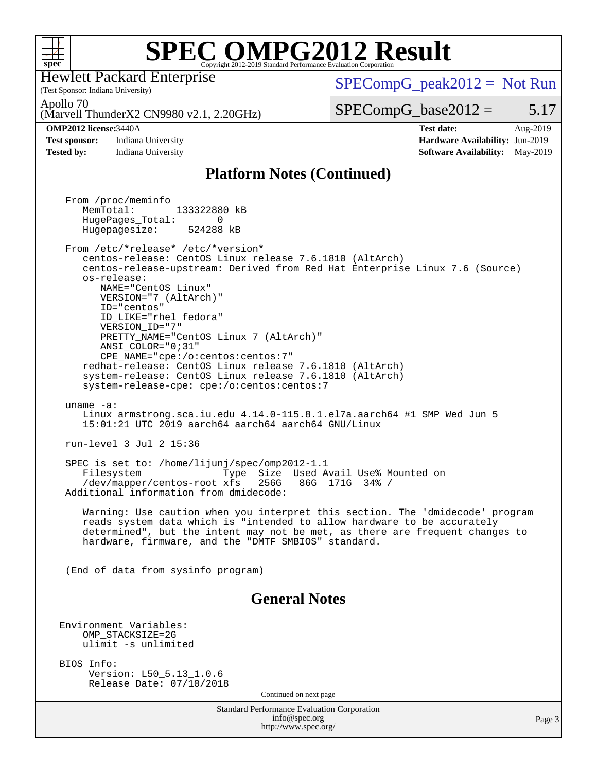

(Test Sponsor: Indiana University) Hewlett Packard Enterprise

 $SPECompG_peak2012 = Not Run$  $SPECompG_peak2012 = Not Run$ 

Apollo 70

(Marvell ThunderX2 CN9980 v2.1, 2.20GHz)

**[Test sponsor:](http://www.spec.org/auto/omp2012/Docs/result-fields.html#Testsponsor)** Indiana University **[Hardware Availability:](http://www.spec.org/auto/omp2012/Docs/result-fields.html#HardwareAvailability)** Jun-2019

 $SPECompG_base2012 = 5.17$  $SPECompG_base2012 = 5.17$ **[OMP2012 license:](http://www.spec.org/auto/omp2012/Docs/result-fields.html#OMP2012license)**3440A **[Test date:](http://www.spec.org/auto/omp2012/Docs/result-fields.html#Testdate)** Aug-2019

**[Tested by:](http://www.spec.org/auto/omp2012/Docs/result-fields.html#Testedby)** Indiana University **[Software Availability:](http://www.spec.org/auto/omp2012/Docs/result-fields.html#SoftwareAvailability)** May-2019

### **[Platform Notes \(Continued\)](http://www.spec.org/auto/omp2012/Docs/result-fields.html#PlatformNotes)**

Standard Performance Evaluation Corporation [info@spec.org](mailto:info@spec.org) <http://www.spec.org/> Page 3 From /proc/meminfo MemTotal: 133322880 kB HugePages\_Total: 0<br>Hugepagesize: 524288 kB Hugepagesize: From /etc/\*release\* /etc/\*version\* centos-release: CentOS Linux release 7.6.1810 (AltArch) centos-release-upstream: Derived from Red Hat Enterprise Linux 7.6 (Source) os-release: NAME="CentOS Linux" VERSION="7 (AltArch)" ID="centos" ID\_LIKE="rhel fedora" VERSION\_ID="7" PRETTY\_NAME="CentOS\_Linux 7 (AltArch)" ANSI\_COLOR="0;31" CPE\_NAME="cpe:/o:centos:centos:7" redhat-release: CentOS Linux release 7.6.1810 (AltArch) system-release: CentOS Linux release 7.6.1810 (AltArch) system-release-cpe: cpe:/o:centos:centos:7 uname -a: Linux armstrong.sca.iu.edu 4.14.0-115.8.1.el7a.aarch64 #1 SMP Wed Jun 5 15:01:21 UTC 2019 aarch64 aarch64 aarch64 GNU/Linux run-level 3 Jul 2 15:36 SPEC is set to: /home/lijunj/spec/omp2012-1.1 Filesystem Type Size Used Avail Use% Mounted on /dev/mapper/centos-root xfs 256G 86G 171G 34% / Additional information from dmidecode: Warning: Use caution when you interpret this section. The 'dmidecode' program reads system data which is "intended to allow hardware to be accurately determined", but the intent may not be met, as there are frequent changes to hardware, firmware, and the "DMTF SMBIOS" standard. (End of data from sysinfo program) **[General Notes](http://www.spec.org/auto/omp2012/Docs/result-fields.html#GeneralNotes)** Environment Variables: OMP\_STACKSIZE=2G ulimit -s unlimited BIOS Info: Version: L50\_5.13\_1.0.6 Release Date: 07/10/2018 Continued on next page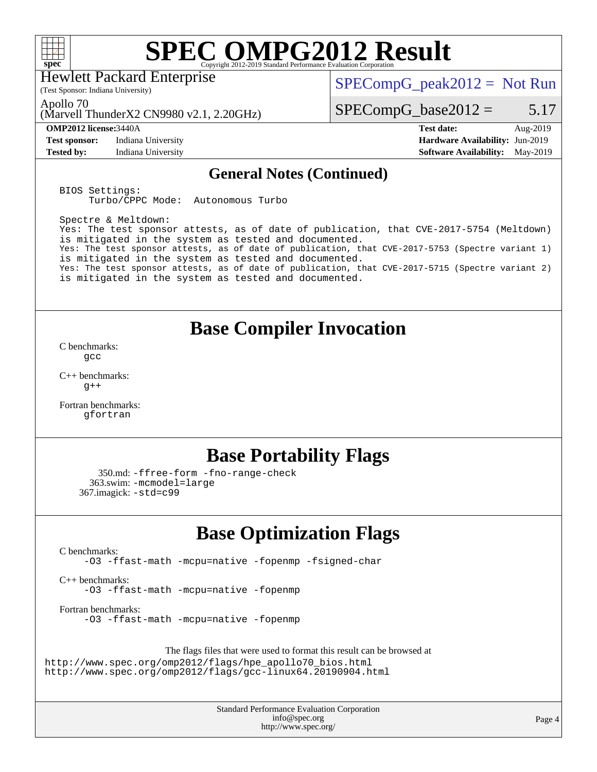

Hewlett Packard Enterprise

 $SPECompG_peak2012 = Not Run$  $SPECompG_peak2012 = Not Run$ 

Apollo 70

(Marvell ThunderX2 CN9980 v2.1, 2.20GHz)

(Test Sponsor: Indiana University)

**[Test sponsor:](http://www.spec.org/auto/omp2012/Docs/result-fields.html#Testsponsor)** Indiana University **[Hardware Availability:](http://www.spec.org/auto/omp2012/Docs/result-fields.html#HardwareAvailability)** Jun-2019

 $SPECompG_base2012 = 5.17$  $SPECompG_base2012 = 5.17$ 

**[OMP2012 license:](http://www.spec.org/auto/omp2012/Docs/result-fields.html#OMP2012license)**3440A **[Test date:](http://www.spec.org/auto/omp2012/Docs/result-fields.html#Testdate)** Aug-2019 **[Tested by:](http://www.spec.org/auto/omp2012/Docs/result-fields.html#Testedby)** Indiana University **[Software Availability:](http://www.spec.org/auto/omp2012/Docs/result-fields.html#SoftwareAvailability)** May-2019

### **[General Notes \(Continued\)](http://www.spec.org/auto/omp2012/Docs/result-fields.html#GeneralNotes)**

BIOS Settings: Turbo/CPPC Mode: Autonomous Turbo

Spectre & Meltdown: Yes: The test sponsor attests, as of date of publication, that CVE-2017-5754 (Meltdown) is mitigated in the system as tested and documented. Yes: The test sponsor attests, as of date of publication, that CVE-2017-5753 (Spectre variant 1) is mitigated in the system as tested and documented. Yes: The test sponsor attests, as of date of publication, that CVE-2017-5715 (Spectre variant 2) is mitigated in the system as tested and documented.

## **[Base Compiler Invocation](http://www.spec.org/auto/omp2012/Docs/result-fields.html#BaseCompilerInvocation)**

[C benchmarks](http://www.spec.org/auto/omp2012/Docs/result-fields.html#Cbenchmarks): [gcc](http://www.spec.org/omp2012/results/res2019q3/omp2012-20190812-00182.flags.html#user_CCbase_gcc_e0d511356bd44120af49cc96c9dcf3b3)

[C++ benchmarks:](http://www.spec.org/auto/omp2012/Docs/result-fields.html#CXXbenchmarks)  $g++$ 

[Fortran benchmarks](http://www.spec.org/auto/omp2012/Docs/result-fields.html#Fortranbenchmarks): [gfortran](http://www.spec.org/omp2012/results/res2019q3/omp2012-20190812-00182.flags.html#user_FCbase_gfortran_a303edaa4a81c8aab35b1bda5c9ef7ba)

## **[Base Portability Flags](http://www.spec.org/auto/omp2012/Docs/result-fields.html#BasePortabilityFlags)**

```
 350.md: -ffree-form -fno-range-check
  363.swim: -mcmodel=large
367.imagick: -std=c99
```
# **[Base Optimization Flags](http://www.spec.org/auto/omp2012/Docs/result-fields.html#BaseOptimizationFlags)**

[C benchmarks](http://www.spec.org/auto/omp2012/Docs/result-fields.html#Cbenchmarks):

[-O3](http://www.spec.org/omp2012/results/res2019q3/omp2012-20190812-00182.flags.html#user_CCbase_f-O3) [-ffast-math](http://www.spec.org/omp2012/results/res2019q3/omp2012-20190812-00182.flags.html#user_CCbase_f-ffast-math) [-mcpu=native](http://www.spec.org/omp2012/results/res2019q3/omp2012-20190812-00182.flags.html#user_CCbase_f-mcpu_8022b0ebebd1cfddb76fd2cd38caa1e3) [-fopenmp](http://www.spec.org/omp2012/results/res2019q3/omp2012-20190812-00182.flags.html#user_CCbase_f-fopenmp) [-fsigned-char](http://www.spec.org/omp2012/results/res2019q3/omp2012-20190812-00182.flags.html#user_CCbase_f-signed-char_ea072296ce3abda7ab095741e7c36064)

[C++ benchmarks:](http://www.spec.org/auto/omp2012/Docs/result-fields.html#CXXbenchmarks) [-O3](http://www.spec.org/omp2012/results/res2019q3/omp2012-20190812-00182.flags.html#user_CXXbase_f-O3) [-ffast-math](http://www.spec.org/omp2012/results/res2019q3/omp2012-20190812-00182.flags.html#user_CXXbase_f-ffast-math) [-mcpu=native](http://www.spec.org/omp2012/results/res2019q3/omp2012-20190812-00182.flags.html#user_CXXbase_f-mcpu_8022b0ebebd1cfddb76fd2cd38caa1e3) [-fopenmp](http://www.spec.org/omp2012/results/res2019q3/omp2012-20190812-00182.flags.html#user_CXXbase_f-fopenmp)

[Fortran benchmarks](http://www.spec.org/auto/omp2012/Docs/result-fields.html#Fortranbenchmarks): [-O3](http://www.spec.org/omp2012/results/res2019q3/omp2012-20190812-00182.flags.html#user_FCbase_f-O3) [-ffast-math](http://www.spec.org/omp2012/results/res2019q3/omp2012-20190812-00182.flags.html#user_FCbase_f-ffast-math) [-mcpu=native](http://www.spec.org/omp2012/results/res2019q3/omp2012-20190812-00182.flags.html#user_FCbase_f-mcpu_8022b0ebebd1cfddb76fd2cd38caa1e3) [-fopenmp](http://www.spec.org/omp2012/results/res2019q3/omp2012-20190812-00182.flags.html#user_FCbase_f-fopenmp)

The flags files that were used to format this result can be browsed at

[http://www.spec.org/omp2012/flags/hpe\\_apollo70\\_bios.html](http://www.spec.org/omp2012/flags/hpe_apollo70_bios.html) <http://www.spec.org/omp2012/flags/gcc-linux64.20190904.html>

> Standard Performance Evaluation Corporation [info@spec.org](mailto:info@spec.org) <http://www.spec.org/>